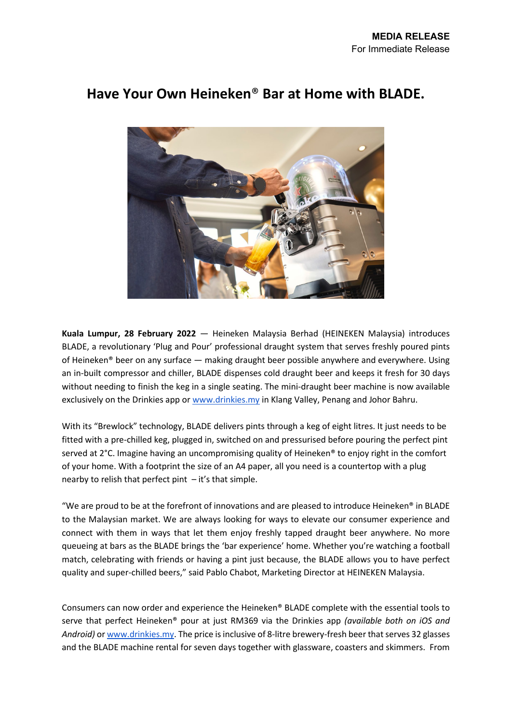

# **Have Your Own Heineken**® **Bar at Home with BLADE.**

**Kuala Lumpur, 28 February 2022** — Heineken Malaysia Berhad (HEINEKEN Malaysia) introduces BLADE, a revolutionary 'Plug and Pour' professional draught system that serves freshly poured pints of Heineken® beer on any surface — making draught beer possible anywhere and everywhere. Using an in-built compressor and chiller, BLADE dispenses cold draught beer and keeps it fresh for 30 days without needing to finish the keg in a single seating. The mini-draught beer machine is now available exclusively on the Drinkies app or [www.drinkies.my](http://www.drinkies.my/) in Klang Valley, Penang and Johor Bahru.

With its "Brewlock" technology, BLADE delivers pints through a keg of eight litres. It just needs to be fitted with a pre-chilled keg, plugged in, switched on and pressurised before pouring the perfect pint served at 2°C. Imagine having an uncompromising quality of Heineken® to enjoy right in the comfort of your home. With a footprint the size of an A4 paper, all you need is a countertop with a plug nearby to relish that perfect pint  $-$  it's that simple.

"We are proud to be at the forefront of innovations and are pleased to introduce Heineken® in BLADE to the Malaysian market. We are always looking for ways to elevate our consumer experience and connect with them in ways that let them enjoy freshly tapped draught beer anywhere. No more queueing at bars as the BLADE brings the 'bar experience' home. Whether you're watching a football match, celebrating with friends or having a pint just because, the BLADE allows you to have perfect quality and super-chilled beers," said Pablo Chabot, Marketing Director at HEINEKEN Malaysia.

Consumers can now order and experience the Heineken® BLADE complete with the essential tools to serve that perfect Heineken® pour at just RM369 via the Drinkies app *(available both on iOS and Android)* o[r www.drinkies.my.](http://www.drinkies.my/) The price is inclusive of 8-litre brewery-fresh beer that serves 32 glasses and the BLADE machine rental for seven days together with glassware, coasters and skimmers. From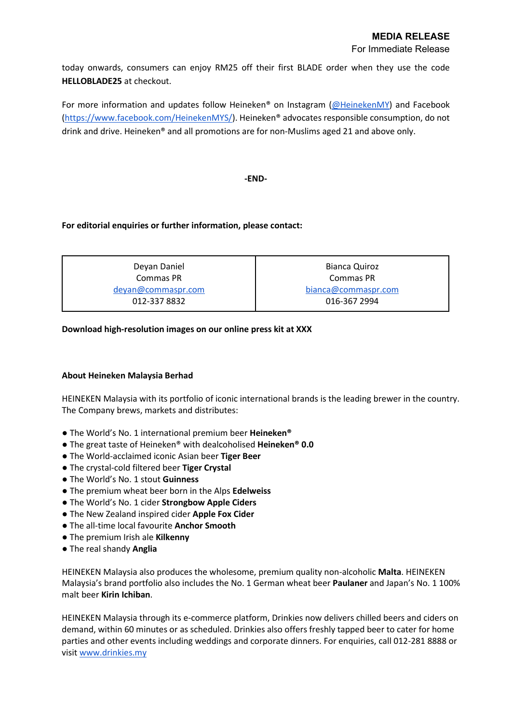today onwards, consumers can enjoy RM25 off their first BLADE order when they use the code **HELLOBLADE25** at checkout.

For more information and updates follow Heineken® on Instagram [\(@HeinekenMY\)](http://www.instagram.com/HeinekenMY) and Facebook [\(https://www.facebook.com/HeinekenMYS/\)](https://www.facebook.com/HeinekenMYS/). Heineken® advocates responsible consumption, do not drink and drive. Heineken® and all promotions are for non-Muslims aged 21 and above only.

### **-END-**

## **For editorial enquiries or further information, please contact:**

| Deyan Daniel       | Bianca Quiroz       |
|--------------------|---------------------|
| Commas PR          | Commas PR           |
| deyan@commaspr.com | bianca@commaspr.com |
| 012-337 8832       | 016-367 2994        |

## **Download high-resolution images on our online press kit at XXX**

## **About Heineken Malaysia Berhad**

HEINEKEN Malaysia with its portfolio of iconic international brands is the leading brewer in the country. The Company brews, markets and distributes:

- The World's No. 1 international premium beer **Heineken®**
- The great taste of Heineken® with dealcoholised **Heineken® 0.0**
- The World-acclaimed iconic Asian beer **Tiger Beer**
- The crystal-cold filtered beer **Tiger Crystal**
- The World's No. 1 stout **Guinness**
- The premium wheat beer born in the Alps **Edelweiss**
- The World's No. 1 cider **Strongbow Apple Ciders**
- The New Zealand inspired cider **Apple Fox Cider**
- The all-time local favourite **Anchor Smooth**
- The premium Irish ale **Kilkenny**
- The real shandy **Anglia**

HEINEKEN Malaysia also produces the wholesome, premium quality non-alcoholic **Malta**. HEINEKEN Malaysia's brand portfolio also includes the No. 1 German wheat beer **Paulaner** and Japan's No. 1 100% malt beer **Kirin Ichiban**.

HEINEKEN Malaysia through its e-commerce platform, Drinkies now delivers chilled beers and ciders on demand, within 60 minutes or as scheduled. Drinkies also offers freshly tapped beer to cater for home parties and other events including weddings and corporate dinners. For enquiries, call 012-281 8888 or visi[t www.drinkies.my](http://www.drinkies.my/)